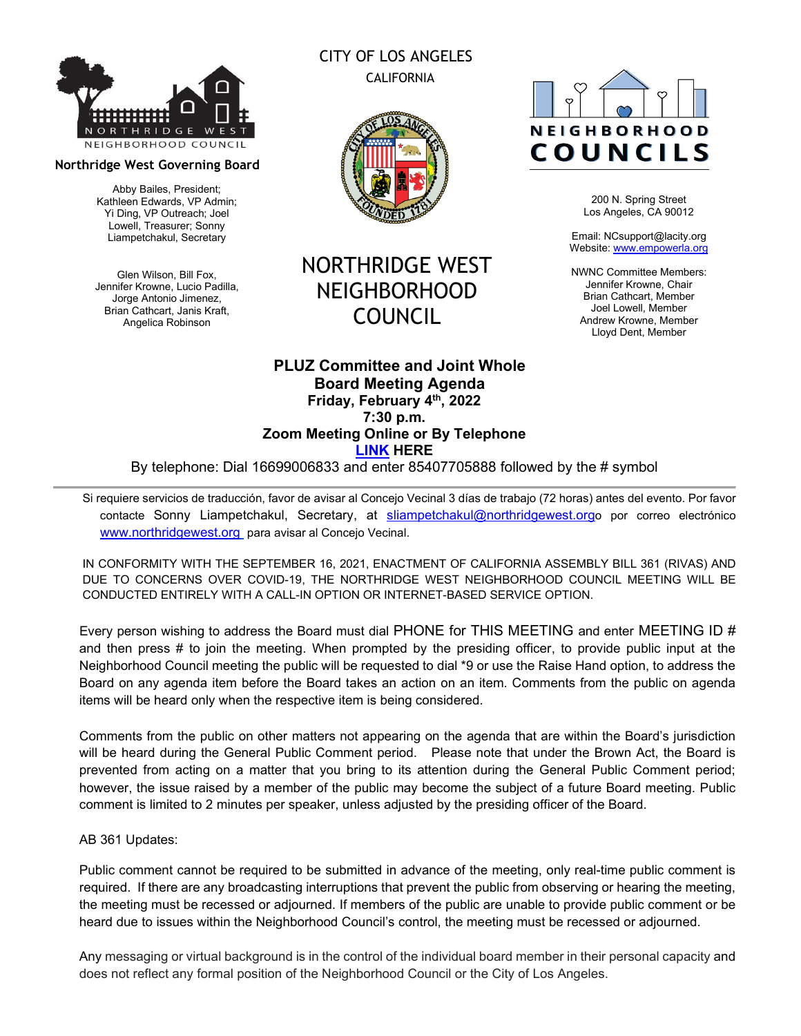

#### **Northridge West Governing Board**

Abby Bailes, President; Kathleen Edwards, VP Admin; Yi Ding, VP Outreach; Joel Lowell, Treasurer; Sonny Liampetchakul, Secretary

Glen Wilson, Bill Fox, Jennifer Krowne, Lucio Padilla, Jorge Antonio Jimenez, Brian Cathcart, Janis Kraft, Angelica Robinson

### CITY OF LOS ANGELES CALIFORNIA



## NORTHRIDGE WEST NEIGHBORHOOD COUNCIL

#### **PLUZ Committee and Joint Whole Board Meeting Agenda Friday, February 4th, 2022 7:30 p.m. Zoom Meeting Online or By Telephone [LINK](https://us02web.zoom.us/j/85407705888) HERE**

By telephone: Dial 16699006833 and enter 85407705888 followed by the # symbol

Si requiere servicios de traducción, favor de avisar al Concejo Vecinal 3 días de trabajo (72 horas) antes del evento. Por favor contacte Sonny Liampetchakul, Secretary, at [sliampetchakul@northridgewest.orgo](mailto:sliampetchakul@northridgewest.org) por correo electrónico [www.northridgewest.org](http://www.northridgewest.org/) para avisar al Concejo Vecinal.

IN CONFORMITY WITH THE SEPTEMBER 16, 2021, ENACTMENT OF CALIFORNIA ASSEMBLY BILL 361 (RIVAS) AND DUE TO CONCERNS OVER COVID-19, THE NORTHRIDGE WEST NEIGHBORHOOD COUNCIL MEETING WILL BE CONDUCTED ENTIRELY WITH A CALL-IN OPTION OR INTERNET-BASED SERVICE OPTION.

Every person wishing to address the Board must dial PHONE for THIS MEETING and enter MEETING ID # and then press # to join the meeting. When prompted by the presiding officer, to provide public input at the Neighborhood Council meeting the public will be requested to dial \*9 or use the Raise Hand option, to address the Board on any agenda item before the Board takes an action on an item. Comments from the public on agenda items will be heard only when the respective item is being considered.

Comments from the public on other matters not appearing on the agenda that are within the Board's jurisdiction will be heard during the General Public Comment period. Please note that under the Brown Act, the Board is prevented from acting on a matter that you bring to its attention during the General Public Comment period; however, the issue raised by a member of the public may become the subject of a future Board meeting. Public comment is limited to 2 minutes per speaker, unless adjusted by the presiding officer of the Board.

#### AB 361 Updates:

Public comment cannot be required to be submitted in advance of the meeting, only real-time public comment is required. If there are any broadcasting interruptions that prevent the public from observing or hearing the meeting, the meeting must be recessed or adjourned. If members of the public are unable to provide public comment or be heard due to issues within the Neighborhood Council's control, the meeting must be recessed or adjourned.

Any messaging or virtual background is in the control of the individual board member in their personal capacity and does not reflect any formal position of the Neighborhood Council or the City of Los Angeles.

# **NEIGHBORHOOD** COUNCILS

200 N. Spring Street Los Angeles, CA 90012

Email: NCsupport@lacity.org Website: [www.empowerla.org](http://www.empowerla.org/)

NWNC Committee Members: Jennifer Krowne, Chair Brian Cathcart, Member Joel Lowell, Member Andrew Krowne, Member Lloyd Dent, Member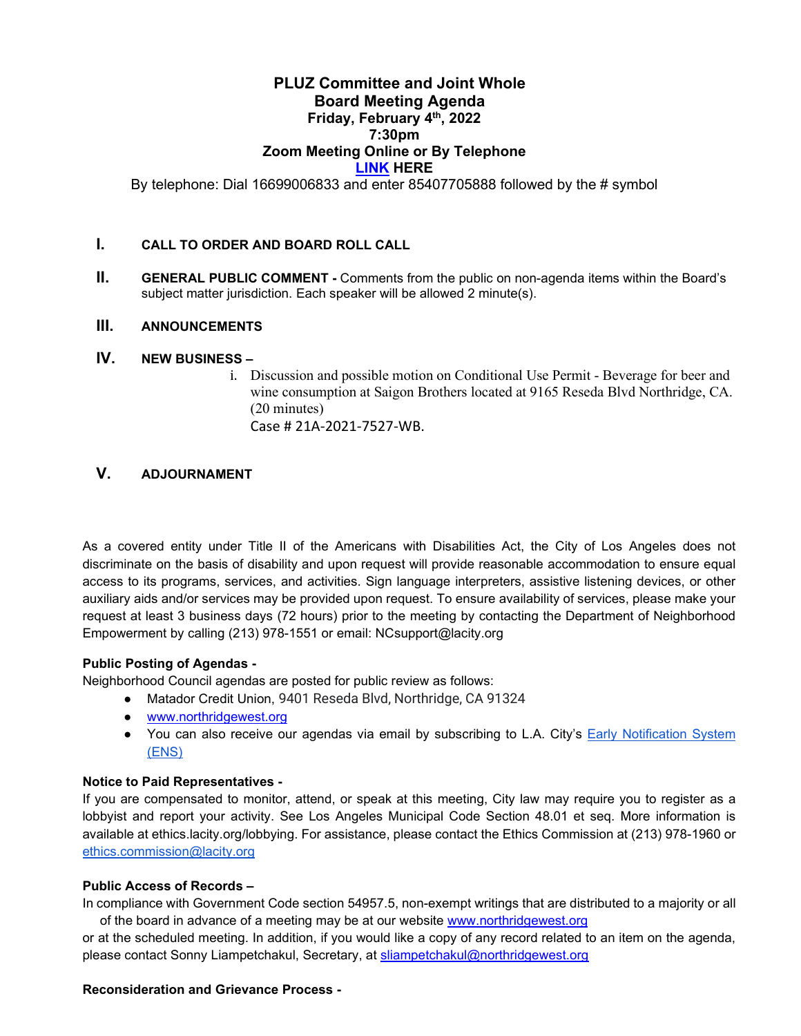#### **PLUZ Committee and Joint Whole Board Meeting Agenda Friday, February 4th, 2022 7:30pm Zoom Meeting Online or By Telephone [LINK](https://us02web.zoom.us/j/85407705888) HERE**

By telephone: Dial 16699006833 and enter 85407705888 followed by the # symbol

#### **I. CALL TO ORDER AND BOARD ROLL CALL**

**II. GENERAL PUBLIC COMMENT** - Comments from the public on non-agenda items within the Board's subject matter jurisdiction. Each speaker will be allowed 2 minute(s).

#### **III. ANNOUNCEMENTS**

#### **IV. NEW BUSINESS –**

i. Discussion and possible motion on Conditional Use Permit - Beverage for beer and wine consumption at Saigon Brothers located at 9165 Reseda Blvd Northridge, CA. (20 minutes) Case # 21A-2021-7527-WB.

#### **V. ADJOURNAMENT**

As a covered entity under Title II of the Americans with Disabilities Act, the City of Los Angeles does not discriminate on the basis of disability and upon request will provide reasonable accommodation to ensure equal access to its programs, services, and activities. Sign language interpreters, assistive listening devices, or other auxiliary aids and/or services may be provided upon request. To ensure availability of services, please make your request at least 3 business days (72 hours) prior to the meeting by contacting the Department of Neighborhood Empowerment by calling (213) 978-1551 or email: [NCsupport@lacity.org](mailto:NCsupport@lacity.org)

#### **Public Posting of Agendas -**

Neighborhood Council agendas are posted for public review as follows:

- Matador Credit Union, 9401 Reseda Blvd, Northridge, CA 91324
- [www.northridgewest.org](http://www.northridgewest.org/)
- You can also receive our agendas via email by subscribing to L.A. City's **Early Notification System** [\(ENS\)](https://www.lacity.org/government/subscribe-agendasnotifications/neighborhood-councils)

#### **Notice to Paid Representatives -**

If you are compensated to monitor, attend, or speak at this meeting, City law may require you to register as a lobbyist and report your activity. See Los Angeles Municipal Code Section 48.01 et seq. More information is available at ethics.lacity.org/lobbying. For assistance, please contact the Ethics Commission at (213) 978-1960 or [ethics.commission@lacity.org](mailto:ethics.commission@lacity.org)

#### **Public Access of Records –**

In compliance with Government Code section 54957.5, non-exempt writings that are distributed to a majority or all of the board in advance of a meeting may be at our website [www.northridgewest.org](http://www.northridgewest.org/)

or at the scheduled meeting. In addition, if you would like a copy of any record related to an item on the agenda, please contact Sonny Liampetchakul, Secretary, at [sliampetchakul@northridgewest.org](mailto:sliampetchakul@northridgewest.org)

#### **Reconsideration and Grievance Process -**